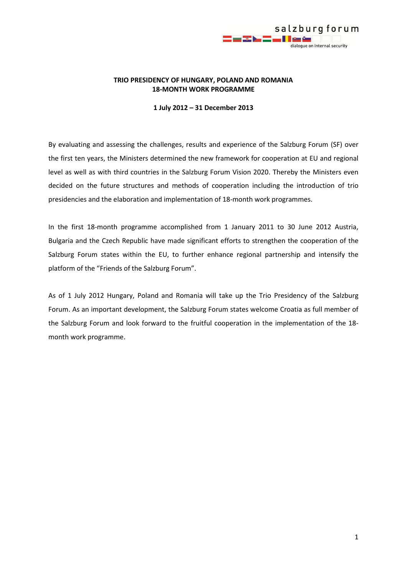

## **TRIO PRESIDENCY OF HUNGARY, POLAND AND ROMANIA 18-MONTH WORK PROGRAMME**

#### **1 July 2012 – 31 December 2013**

By evaluating and assessing the challenges, results and experience of the Salzburg Forum (SF) over the first ten years, the Ministers determined the new framework for cooperation at EU and regional level as well as with third countries in the Salzburg Forum Vision 2020. Thereby the Ministers even decided on the future structures and methods of cooperation including the introduction of trio presidencies and the elaboration and implementation of 18-month work programmes.

In the first 18-month programme accomplished from 1 January 2011 to 30 June 2012 Austria, Bulgaria and the Czech Republic have made significant efforts to strengthen the cooperation of the Salzburg Forum states within the EU, to further enhance regional partnership and intensify the platform of the "Friends of the Salzburg Forum".

As of 1 July 2012 Hungary, Poland and Romania will take up the Trio Presidency of the Salzburg Forum. As an important development, the Salzburg Forum states welcome Croatia as full member of the Salzburg Forum and look forward to the fruitful cooperation in the implementation of the 18 month work programme.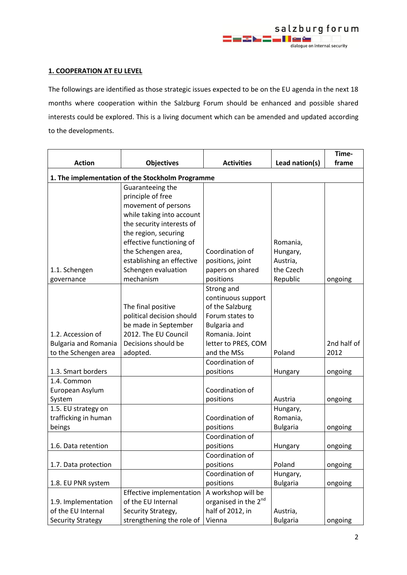## **1. COOPERATION AT EU LEVEL**

The followings are identified as those strategic issues expected to be on the EU agenda in the next 18 months where cooperation within the Salzburg Forum should be enhanced and possible shared interests could be explored. This is a living document which can be amended and updated according to the developments.

|                                                  |                           |                                  |                 | Time-       |  |
|--------------------------------------------------|---------------------------|----------------------------------|-----------------|-------------|--|
| <b>Action</b>                                    | <b>Objectives</b>         | <b>Activities</b>                | Lead nation(s)  | frame       |  |
| 1. The implementation of the Stockholm Programme |                           |                                  |                 |             |  |
|                                                  | Guaranteeing the          |                                  |                 |             |  |
|                                                  | principle of free         |                                  |                 |             |  |
|                                                  | movement of persons       |                                  |                 |             |  |
|                                                  | while taking into account |                                  |                 |             |  |
|                                                  | the security interests of |                                  |                 |             |  |
|                                                  | the region, securing      |                                  |                 |             |  |
|                                                  | effective functioning of  |                                  | Romania,        |             |  |
|                                                  | the Schengen area,        | Coordination of                  | Hungary,        |             |  |
|                                                  | establishing an effective | positions, joint                 | Austria,        |             |  |
| 1.1. Schengen                                    | Schengen evaluation       | papers on shared                 | the Czech       |             |  |
| governance                                       | mechanism                 | positions                        | Republic        | ongoing     |  |
|                                                  |                           | Strong and                       |                 |             |  |
|                                                  |                           | continuous support               |                 |             |  |
|                                                  | The final positive        | of the Salzburg                  |                 |             |  |
|                                                  | political decision should | Forum states to                  |                 |             |  |
|                                                  | be made in September      | Bulgaria and                     |                 |             |  |
| 1.2. Accession of                                | 2012. The EU Council      | Romania, Joint                   |                 |             |  |
| <b>Bulgaria and Romania</b>                      | Decisions should be       | letter to PRES, COM              |                 | 2nd half of |  |
| to the Schengen area                             | adopted.                  | and the MSs                      | Poland          | 2012        |  |
|                                                  |                           | Coordination of                  |                 |             |  |
| 1.3. Smart borders                               |                           | positions                        | Hungary         | ongoing     |  |
| 1.4. Common                                      |                           |                                  |                 |             |  |
| European Asylum                                  |                           | Coordination of                  |                 |             |  |
| System                                           |                           | positions                        | Austria         | ongoing     |  |
| 1.5. EU strategy on                              |                           |                                  | Hungary,        |             |  |
| trafficking in human                             |                           | Coordination of                  | Romania,        |             |  |
| beings                                           |                           | positions                        | <b>Bulgaria</b> | ongoing     |  |
|                                                  |                           | Coordination of                  |                 |             |  |
| 1.6. Data retention                              |                           | positions                        | Hungary         | ongoing     |  |
|                                                  |                           | Coordination of                  |                 |             |  |
| 1.7. Data protection                             |                           | positions                        | Poland          | ongoing     |  |
|                                                  |                           | Coordination of                  | Hungary,        |             |  |
| 1.8. EU PNR system                               |                           | positions                        | <b>Bulgaria</b> | ongoing     |  |
|                                                  | Effective implementation  | A workshop will be               |                 |             |  |
| 1.9. Implementation                              | of the EU Internal        | organised in the 2 <sup>nd</sup> |                 |             |  |
| of the EU Internal                               | Security Strategy,        | half of 2012, in                 | Austria,        |             |  |
| <b>Security Strategy</b>                         | strengthening the role of | Vienna                           | <b>Bulgaria</b> | ongoing     |  |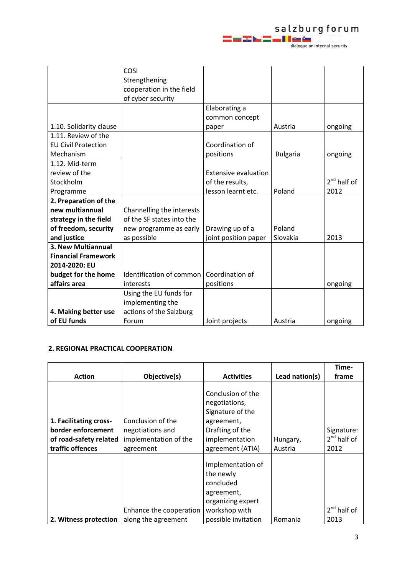salzburg forum<br>End End Length (1994)

|                            | COSI                      |                             |                 |               |
|----------------------------|---------------------------|-----------------------------|-----------------|---------------|
|                            | Strengthening             |                             |                 |               |
|                            | cooperation in the field  |                             |                 |               |
|                            | of cyber security         |                             |                 |               |
|                            |                           | Elaborating a               |                 |               |
|                            |                           | common concept              |                 |               |
| 1.10. Solidarity clause    |                           | paper                       | Austria         | ongoing       |
| 1.11. Review of the        |                           |                             |                 |               |
| <b>EU Civil Protection</b> |                           | Coordination of             |                 |               |
| Mechanism                  |                           | positions                   | <b>Bulgaria</b> | ongoing       |
| 1.12. Mid-term             |                           |                             |                 |               |
| review of the              |                           | <b>Extensive evaluation</b> |                 |               |
| Stockholm                  |                           | of the results,             |                 | $2nd$ half of |
| Programme                  |                           | lesson learnt etc.          | Poland          | 2012          |
| 2. Preparation of the      |                           |                             |                 |               |
| new multiannual            | Channelling the interests |                             |                 |               |
| strategy in the field      | of the SF states into the |                             |                 |               |
| of freedom, security       | new programme as early    | Drawing up of a             | Poland          |               |
| and justice                | as possible               | joint position paper        | Slovakia        | 2013          |
| 3. New Multiannual         |                           |                             |                 |               |
| <b>Financial Framework</b> |                           |                             |                 |               |
| 2014-2020: EU              |                           |                             |                 |               |
| budget for the home        | Identification of common  | Coordination of             |                 |               |
| affairs area               | interests                 | positions                   |                 | ongoing       |
|                            | Using the EU funds for    |                             |                 |               |
|                            | implementing the          |                             |                 |               |
| 4. Making better use       | actions of the Salzburg   |                             |                 |               |
| of EU funds                | Forum                     | Joint projects              | Austria         | ongoing       |

# **2. REGIONAL PRACTICAL COOPERATION**

|                        |                                                |                                                                                                 |                | Time-         |
|------------------------|------------------------------------------------|-------------------------------------------------------------------------------------------------|----------------|---------------|
| <b>Action</b>          | Objective(s)                                   | <b>Activities</b>                                                                               | Lead nation(s) | frame         |
|                        |                                                | Conclusion of the<br>negotiations,<br>Signature of the                                          |                |               |
| 1. Facilitating cross- | Conclusion of the                              | agreement,                                                                                      |                |               |
| border enforcement     | negotiations and                               | Drafting of the                                                                                 |                | Signature:    |
| of road-safety related | implementation of the                          | implementation                                                                                  | Hungary,       | $2nd$ half of |
| traffic offences       | agreement                                      | agreement (ATIA)                                                                                | Austria        | 2012          |
|                        |                                                | Implementation of<br>the newly<br>concluded<br>agreement,<br>organizing expert<br>workshop with |                | $2nd$ half of |
| 2. Witness protection  | Enhance the cooperation<br>along the agreement | possible invitation                                                                             | Romania        | 2013          |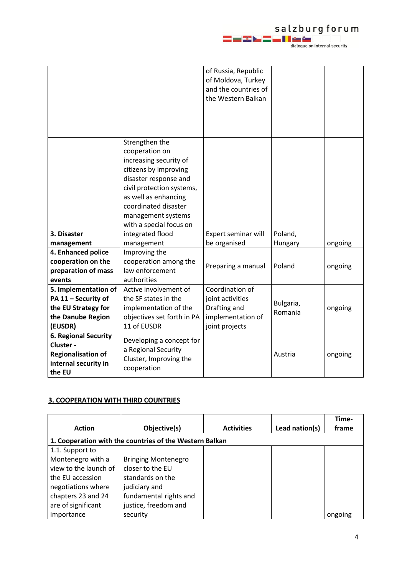# 

|                                                                                                         |                                                                                                                                                                                                                                                                              | of Russia, Republic<br>of Moldova, Turkey<br>and the countries of<br>the Western Balkan    |                      |         |
|---------------------------------------------------------------------------------------------------------|------------------------------------------------------------------------------------------------------------------------------------------------------------------------------------------------------------------------------------------------------------------------------|--------------------------------------------------------------------------------------------|----------------------|---------|
|                                                                                                         |                                                                                                                                                                                                                                                                              |                                                                                            |                      |         |
| 3. Disaster<br>management                                                                               | Strengthen the<br>cooperation on<br>increasing security of<br>citizens by improving<br>disaster response and<br>civil protection systems,<br>as well as enhancing<br>coordinated disaster<br>management systems<br>with a special focus on<br>integrated flood<br>management | Expert seminar will<br>be organised                                                        | Poland,<br>Hungary   | ongoing |
| 4. Enhanced police                                                                                      | Improving the                                                                                                                                                                                                                                                                |                                                                                            |                      |         |
| cooperation on the<br>preparation of mass<br>events                                                     | cooperation among the<br>law enforcement<br>authorities                                                                                                                                                                                                                      | Preparing a manual                                                                         | Poland               | ongoing |
| 5. Implementation of<br>PA 11 - Security of<br>the EU Strategy for<br>the Danube Region<br>(EUSDR)      | Active involvement of<br>the SF states in the<br>implementation of the<br>objectives set forth in PA<br>11 of EUSDR                                                                                                                                                          | Coordination of<br>joint activities<br>Drafting and<br>implementation of<br>joint projects | Bulgaria,<br>Romania | ongoing |
| <b>6. Regional Security</b><br>Cluster -<br><b>Regionalisation of</b><br>internal security in<br>the EU | Developing a concept for<br>a Regional Security<br>Cluster, Improving the<br>cooperation                                                                                                                                                                                     |                                                                                            | Austria              | ongoing |

## **3. COOPERATION WITH THIRD COUNTRIES**

|                       |                                                         |                   |                | Time-   |
|-----------------------|---------------------------------------------------------|-------------------|----------------|---------|
| <b>Action</b>         | Objective(s)                                            | <b>Activities</b> | Lead nation(s) | frame   |
|                       | 1. Cooperation with the countries of the Western Balkan |                   |                |         |
| 1.1. Support to       |                                                         |                   |                |         |
| Montenegro with a     | <b>Bringing Montenegro</b>                              |                   |                |         |
| view to the launch of | closer to the EU                                        |                   |                |         |
| the EU accession      | standards on the                                        |                   |                |         |
| negotiations where    | judiciary and                                           |                   |                |         |
| chapters 23 and 24    | fundamental rights and                                  |                   |                |         |
| are of significant    | justice, freedom and                                    |                   |                |         |
| importance            | security                                                |                   |                | ongoing |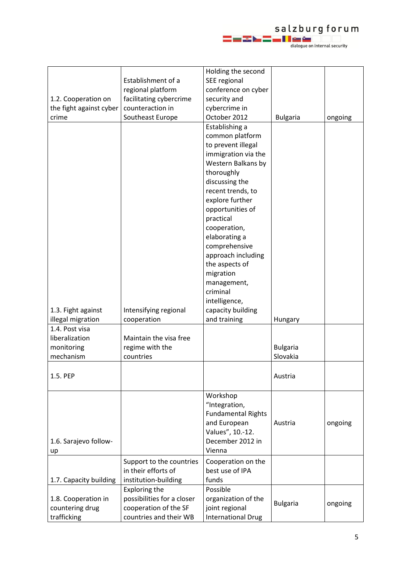

|                         |                            | Holding the second        |                 |         |
|-------------------------|----------------------------|---------------------------|-----------------|---------|
|                         | Establishment of a         | SEE regional              |                 |         |
|                         | regional platform          | conference on cyber       |                 |         |
| 1.2. Cooperation on     | facilitating cybercrime    | security and              |                 |         |
| the fight against cyber | counteraction in           | cybercrime in             |                 |         |
| crime                   | Southeast Europe           | October 2012              | <b>Bulgaria</b> | ongoing |
|                         |                            | Establishing a            |                 |         |
|                         |                            | common platform           |                 |         |
|                         |                            | to prevent illegal        |                 |         |
|                         |                            | immigration via the       |                 |         |
|                         |                            | Western Balkans by        |                 |         |
|                         |                            | thoroughly                |                 |         |
|                         |                            | discussing the            |                 |         |
|                         |                            | recent trends, to         |                 |         |
|                         |                            | explore further           |                 |         |
|                         |                            | opportunities of          |                 |         |
|                         |                            | practical                 |                 |         |
|                         |                            | cooperation,              |                 |         |
|                         |                            | elaborating a             |                 |         |
|                         |                            | comprehensive             |                 |         |
|                         |                            | approach including        |                 |         |
|                         |                            | the aspects of            |                 |         |
|                         |                            | migration                 |                 |         |
|                         |                            | management,               |                 |         |
|                         |                            | criminal                  |                 |         |
|                         |                            | intelligence,             |                 |         |
| 1.3. Fight against      | Intensifying regional      | capacity building         |                 |         |
| illegal migration       | cooperation                | and training              | Hungary         |         |
| 1.4. Post visa          |                            |                           |                 |         |
| liberalization          | Maintain the visa free     |                           |                 |         |
| monitoring              | regime with the            |                           | <b>Bulgaria</b> |         |
| mechanism               | countries                  |                           | Slovakia        |         |
| 1.5. PEP                |                            |                           | Austria         |         |
|                         |                            |                           |                 |         |
|                         |                            | Workshop                  |                 |         |
|                         |                            | "Integration,             |                 |         |
|                         |                            | <b>Fundamental Rights</b> |                 |         |
|                         |                            | and European              | Austria         | ongoing |
|                         |                            | Values", 10 .- 12.        |                 |         |
| 1.6. Sarajevo follow-   |                            | December 2012 in          |                 |         |
| up                      |                            | Vienna                    |                 |         |
|                         | Support to the countries   | Cooperation on the        |                 |         |
|                         | in their efforts of        | best use of IPA           |                 |         |
| 1.7. Capacity building  | institution-building       | funds                     |                 |         |
|                         | <b>Exploring the</b>       | Possible                  |                 |         |
| 1.8. Cooperation in     | possibilities for a closer | organization of the       |                 |         |
| countering drug         | cooperation of the SF      | joint regional            | <b>Bulgaria</b> | ongoing |
| trafficking             | countries and their WB     | <b>International Drug</b> |                 |         |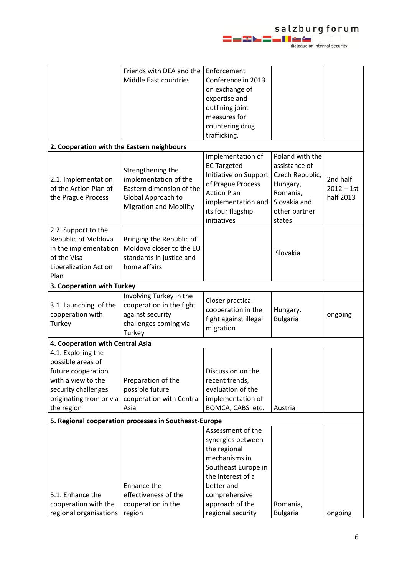

|                                                                                                                                                     | Friends with DEA and the<br>Middle East countries                                                                             | Enforcement<br>Conference in 2013<br>on exchange of<br>expertise and<br>outlining joint<br>measures for<br>countering drug<br>trafficking.                                                 |                                                                                                                        |                                       |
|-----------------------------------------------------------------------------------------------------------------------------------------------------|-------------------------------------------------------------------------------------------------------------------------------|--------------------------------------------------------------------------------------------------------------------------------------------------------------------------------------------|------------------------------------------------------------------------------------------------------------------------|---------------------------------------|
| 2. Cooperation with the Eastern neighbours                                                                                                          |                                                                                                                               |                                                                                                                                                                                            |                                                                                                                        |                                       |
| 2.1. Implementation<br>of the Action Plan of<br>the Prague Process                                                                                  | Strengthening the<br>implementation of the<br>Eastern dimension of the<br>Global Approach to<br><b>Migration and Mobility</b> | Implementation of<br><b>EC Targeted</b><br>Initiative on Support<br>of Prague Process<br><b>Action Plan</b><br>implementation and<br>its four flagship<br>initiatives                      | Poland with the<br>assistance of<br>Czech Republic,<br>Hungary,<br>Romania,<br>Slovakia and<br>other partner<br>states | 2nd half<br>$2012 - 1st$<br>half 2013 |
| 2.2. Support to the<br>Republic of Moldova<br>in the implementation<br>of the Visa<br><b>Liberalization Action</b><br>Plan                          | Bringing the Republic of<br>Moldova closer to the EU<br>standards in justice and<br>home affairs                              |                                                                                                                                                                                            | Slovakia                                                                                                               |                                       |
| 3. Cooperation with Turkey                                                                                                                          |                                                                                                                               |                                                                                                                                                                                            |                                                                                                                        |                                       |
| 3.1. Launching of the<br>cooperation with<br>Turkey                                                                                                 | Involving Turkey in the<br>cooperation in the fight<br>against security<br>challenges coming via<br>Turkey                    | Closer practical<br>cooperation in the<br>fight against illegal<br>migration                                                                                                               | Hungary,<br><b>Bulgaria</b>                                                                                            | ongoing                               |
| 4. Cooperation with Central Asia                                                                                                                    |                                                                                                                               |                                                                                                                                                                                            |                                                                                                                        |                                       |
| 4.1. Exploring the<br>possible areas of<br>future cooperation<br>with a view to the<br>security challenges<br>originating from or via<br>the region | Preparation of the<br>possible future<br>cooperation with Central<br>Asia                                                     | Discussion on the<br>recent trends,<br>evaluation of the<br>implementation of<br>BOMCA, CABSI etc.                                                                                         | Austria                                                                                                                |                                       |
| 5. Regional cooperation processes in Southeast-Europe                                                                                               |                                                                                                                               |                                                                                                                                                                                            |                                                                                                                        |                                       |
| 5.1. Enhance the<br>cooperation with the<br>regional organisations                                                                                  | Enhance the<br>effectiveness of the<br>cooperation in the<br>region                                                           | Assessment of the<br>synergies between<br>the regional<br>mechanisms in<br>Southeast Europe in<br>the interest of a<br>better and<br>comprehensive<br>approach of the<br>regional security | Romania,<br><b>Bulgaria</b>                                                                                            | ongoing                               |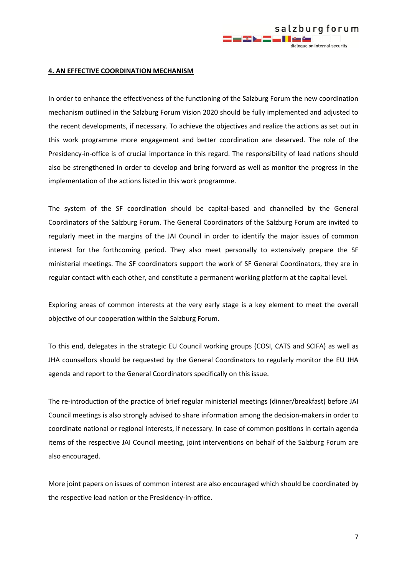

#### **4. AN EFFECTIVE COORDINATION MECHANISM**

In order to enhance the effectiveness of the functioning of the Salzburg Forum the new coordination mechanism outlined in the Salzburg Forum Vision 2020 should be fully implemented and adjusted to the recent developments, if necessary. To achieve the objectives and realize the actions as set out in this work programme more engagement and better coordination are deserved. The role of the Presidency-in-office is of crucial importance in this regard. The responsibility of lead nations should also be strengthened in order to develop and bring forward as well as monitor the progress in the implementation of the actions listed in this work programme.

The system of the SF coordination should be capital-based and channelled by the General Coordinators of the Salzburg Forum. The General Coordinators of the Salzburg Forum are invited to regularly meet in the margins of the JAI Council in order to identify the major issues of common interest for the forthcoming period. They also meet personally to extensively prepare the SF ministerial meetings. The SF coordinators support the work of SF General Coordinators, they are in regular contact with each other, and constitute a permanent working platform at the capital level.

Exploring areas of common interests at the very early stage is a key element to meet the overall objective of our cooperation within the Salzburg Forum.

To this end, delegates in the strategic EU Council working groups (COSI, CATS and SCIFA) as well as JHA counsellors should be requested by the General Coordinators to regularly monitor the EU JHA agenda and report to the General Coordinators specifically on this issue.

The re-introduction of the practice of brief regular ministerial meetings (dinner/breakfast) before JAI Council meetings is also strongly advised to share information among the decision-makers in order to coordinate national or regional interests, if necessary. In case of common positions in certain agenda items of the respective JAI Council meeting, joint interventions on behalf of the Salzburg Forum are also encouraged.

More joint papers on issues of common interest are also encouraged which should be coordinated by the respective lead nation or the Presidency-in-office.